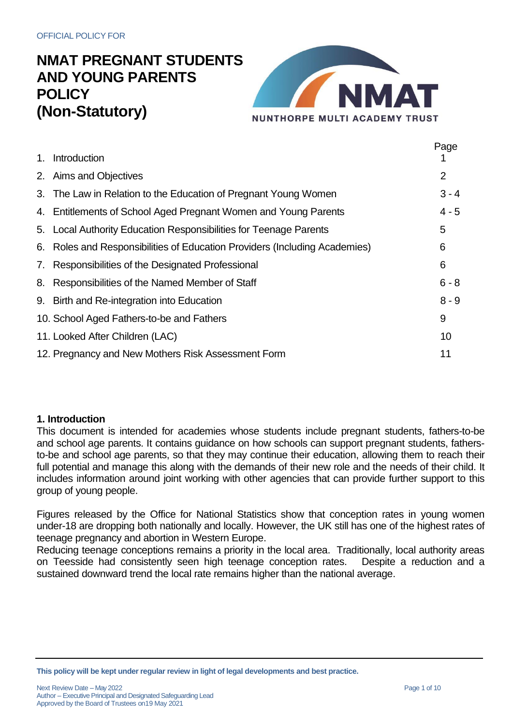

Page

|                                                                            | Page    |
|----------------------------------------------------------------------------|---------|
| 1. Introduction                                                            |         |
| 2. Aims and Objectives                                                     | 2       |
| 3. The Law in Relation to the Education of Pregnant Young Women            | $3 - 4$ |
| 4. Entitlements of School Aged Pregnant Women and Young Parents            | $4 - 5$ |
| 5. Local Authority Education Responsibilities for Teenage Parents          | 5       |
| 6. Roles and Responsibilities of Education Providers (Including Academies) | 6       |
| 7. Responsibilities of the Designated Professional                         | 6       |
| 8. Responsibilities of the Named Member of Staff                           | $6 - 8$ |
| 9. Birth and Re-integration into Education                                 | $8 - 9$ |
| 10. School Aged Fathers-to-be and Fathers                                  | 9       |
| 11. Looked After Children (LAC)                                            | 10      |
| 12. Pregnancy and New Mothers Risk Assessment Form                         | 11      |
|                                                                            |         |

### **1. Introduction**

This document is intended for academies whose students include pregnant students, fathers-to-be and school age parents. It contains guidance on how schools can support pregnant students, fathersto-be and school age parents, so that they may continue their education, allowing them to reach their full potential and manage this along with the demands of their new role and the needs of their child. It includes information around joint working with other agencies that can provide further support to this group of young people.

Figures released by the Office for National Statistics show that conception rates in young women under-18 are dropping both nationally and locally. However, the UK still has one of the highest rates of teenage pregnancy and abortion in Western Europe.

Reducing teenage conceptions remains a priority in the local area. Traditionally, local authority areas on Teesside had consistently seen high teenage conception rates. Despite a reduction and a sustained downward trend the local rate remains higher than the national average.

**This policy will be kept under regular review in light of legal developments and best practice.**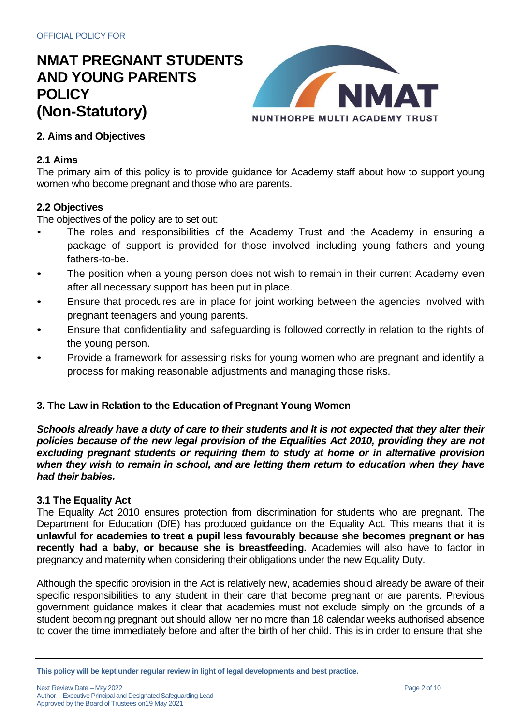

## **2. Aims and Objectives**

#### **2.1 Aims**

The primary aim of this policy is to provide guidance for Academy staff about how to support young women who become pregnant and those who are parents.

#### **2.2 Objectives**

The objectives of the policy are to set out:

- The roles and responsibilities of the Academy Trust and the Academy in ensuring a package of support is provided for those involved including young fathers and young fathers-to-be.
- The position when a young person does not wish to remain in their current Academy even after all necessary support has been put in place.
- Ensure that procedures are in place for joint working between the agencies involved with pregnant teenagers and young parents.
- Ensure that confidentiality and safeguarding is followed correctly in relation to the rights of the young person.
- Provide a framework for assessing risks for young women who are pregnant and identify a process for making reasonable adjustments and managing those risks.

### **3. The Law in Relation to the Education of Pregnant Young Women**

Schools already have a duty of care to their students and It is not expected that they alter their *policies because of the new legal provision of the Equalities Act 2010, providing they are not excluding pregnant students or requiring them to study at home or in alternative provision when they wish to remain in school, and are letting them return to education when they have had their babies.*

### **3.1 The Equality Act**

The Equality Act 2010 ensures protection from discrimination for students who are pregnant. The Department for Education (DfE) has produced guidance on the Equality Act. This means that it is **unlawful for academies to treat a pupil less favourably because she becomes pregnant or has recently had a baby, or because she is breastfeeding.** Academies will also have to factor in pregnancy and maternity when considering their obligations under the new Equality Duty.

Although the specific provision in the Act is relatively new, academies should already be aware of their specific responsibilities to any student in their care that become pregnant or are parents. Previous government guidance makes it clear that academies must not exclude simply on the grounds of a student becoming pregnant but should allow her no more than 18 calendar weeks authorised absence to cover the time immediately before and after the birth of her child. This is in order to ensure that she

**This policy will be kept under regular review in light of legal developments and best practice.**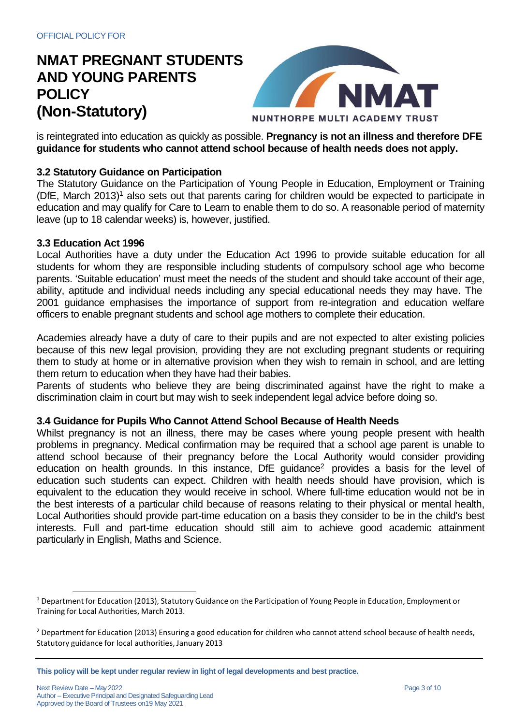

is reintegrated into education as quickly as possible. **Pregnancy is not an illness and therefore DFE guidance for students who cannot attend school because of health needs does not apply.**

## **3.2 Statutory Guidance on Participation**

The Statutory Guidance on the Participation of Young People in Education, Employment or Training (DfE, March 2013) <sup>1</sup> also sets out that parents caring for children would be expected to participate in education and may qualify for Care to Learn to enable them to do so. A reasonable period of maternity leave (up to 18 calendar weeks) is, however, justified.

#### **3.3 Education Act 1996**

Local Authorities have a duty under the Education Act 1996 to provide suitable education for all students for whom they are responsible including students of compulsory school age who become parents. 'Suitable education' must meet the needs of the student and should take account of their age, ability, aptitude and individual needs including any special educational needs they may have. The 2001 guidance emphasises the importance of support from re-integration and education welfare officers to enable pregnant students and school age mothers to complete their education.

Academies already have a duty of care to their pupils and are not expected to alter existing policies because of this new legal provision, providing they are not excluding pregnant students or requiring them to study at home or in alternative provision when they wish to remain in school, and are letting them return to education when they have had their babies.

Parents of students who believe they are being discriminated against have the right to make a discrimination claim in court but may wish to seek independent legal advice before doing so.

#### **3.4 Guidance for Pupils Who Cannot Attend School Because of Health Needs**

Whilst pregnancy is not an illness, there may be cases where young people present with health problems in pregnancy. Medical confirmation may be required that a school age parent is unable to attend school because of their pregnancy before the Local Authority would consider providing education on health grounds. In this instance, DfE guidance<sup>2</sup> provides a basis for the level of education such students can expect. Children with health needs should have provision, which is equivalent to the education they would receive in school. Where full-time education would not be in the best interests of a particular child because of reasons relating to their physical or mental health, Local Authorities should provide part-time education on a basis they consider to be in the child's best interests. Full and part-time education should still aim to achieve good academic attainment particularly in English, Maths and Science.

<sup>1</sup> Department for Education (2013), Statutory Guidance on the Participation of Young People in Education, Employment or Training for Local Authorities, March 2013.

<sup>&</sup>lt;sup>2</sup> Department for Education (2013) Ensuring a good education for children who cannot attend school because of health needs, Statutory guidance for local authorities, January 2013

**This policy will be kept under regular review in light of legal developments and best practice.**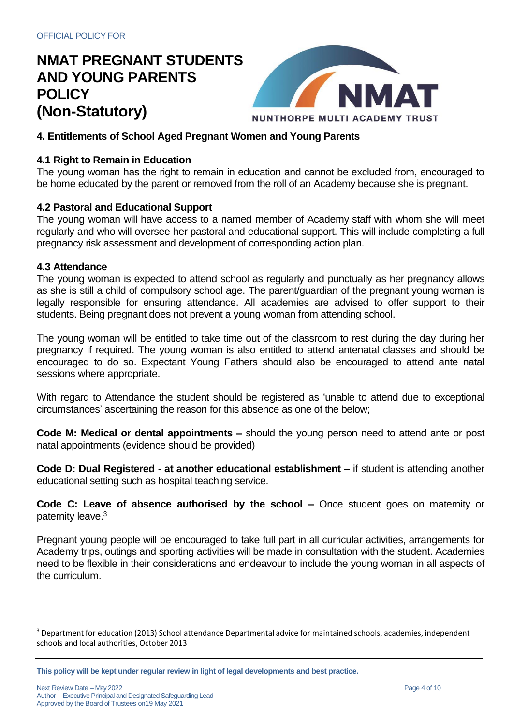

## **4. Entitlements of School Aged Pregnant Women and Young Parents**

### **4.1 Right to Remain in Education**

The young woman has the right to remain in education and cannot be excluded from, encouraged to be home educated by the parent or removed from the roll of an Academy because she is pregnant.

#### **4.2 Pastoral and Educational Support**

The young woman will have access to a named member of Academy staff with whom she will meet regularly and who will oversee her pastoral and educational support. This will include completing a full pregnancy risk assessment and development of corresponding action plan.

#### **4.3 Attendance**

The young woman is expected to attend school as regularly and punctually as her pregnancy allows as she is still a child of compulsory school age. The parent/guardian of the pregnant young woman is legally responsible for ensuring attendance. All academies are advised to offer support to their students. Being pregnant does not prevent a young woman from attending school.

The young woman will be entitled to take time out of the classroom to rest during the day during her pregnancy if required. The young woman is also entitled to attend antenatal classes and should be encouraged to do so. Expectant Young Fathers should also be encouraged to attend ante natal sessions where appropriate.

With regard to Attendance the student should be registered as 'unable to attend due to exceptional circumstances' ascertaining the reason for this absence as one of the below;

**Code M: Medical or dental appointments –** should the young person need to attend ante or post natal appointments (evidence should be provided)

**Code D: Dual Registered - at another educational establishment –** if student is attending another educational setting such as hospital teaching service.

**Code C: Leave of absence authorised by the school –** Once student goes on maternity or paternity leave.<sup>3</sup>

Pregnant young people will be encouraged to take full part in all curricular activities, arrangements for Academy trips, outings and sporting activities will be made in consultation with the student. Academies need to be flexible in their considerations and endeavour to include the young woman in all aspects of the curriculum.

<sup>&</sup>lt;sup>3</sup> Department for education (2013) School attendance Departmental advice for maintained schools, academies, independent schools and local authorities, October 2013

**This policy will be kept under regular review in light of legal developments and best practice.**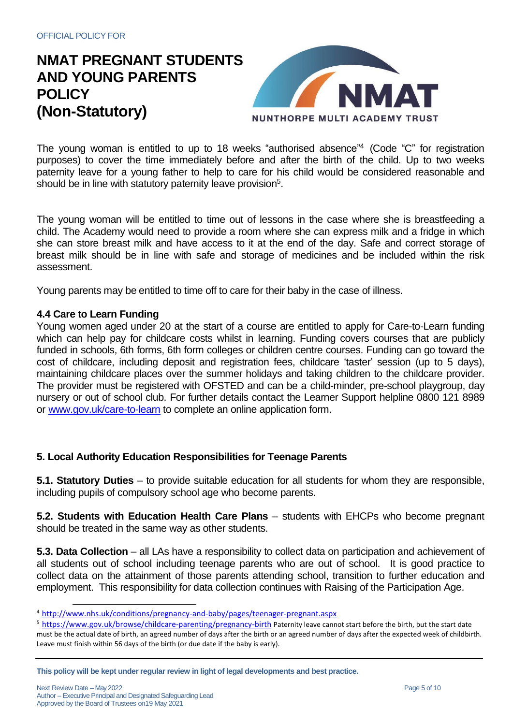

The young woman is entitled to up to 18 weeks "authorised absence"<sup>4</sup> (Code "C" for registration purposes) to cover the time immediately before and after the birth of the child. Up to two weeks paternity leave for a young father to help to care for his child would be considered reasonable and should be in line with statutory paternity leave provision<sup>5</sup>.

The young woman will be entitled to time out of lessons in the case where she is breastfeeding a child. The Academy would need to provide a room where she can express milk and a fridge in which she can store breast milk and have access to it at the end of the day. Safe and correct storage of breast milk should be in line with safe and storage of medicines and be included within the risk assessment.

Young parents may be entitled to time off to care for their baby in the case of illness.

#### **4.4 Care to Learn Funding**

Young women aged under 20 at the start of a course are entitled to apply for Care-to-Learn funding which can help pay for childcare costs whilst in learning. Funding covers courses that are publicly funded in schools, 6th forms, 6th form colleges or children centre courses. Funding can go toward the cost of childcare, including deposit and registration fees, childcare 'taster' session (up to 5 days), maintaining childcare places over the summer holidays and taking children to the childcare provider. The provider must be registered with OFSTED and can be a child-minder, pre-school playgroup, day nursery or out of school club. For further details contact the Learner Support helpline 0800 121 8989 or [www.gov.uk/care-to-learn](http://www.gov.uk/care-to-learn) to complete an online application form.

### **5. Local Authority Education Responsibilities for Teenage Parents**

**5.1. Statutory Duties** – to provide suitable education for all students for whom they are responsible, including pupils of compulsory school age who become parents.

**5.2. Students with Education Health Care Plans** – students with EHCPs who become pregnant should be treated in the same way as other students.

**5.3. Data Collection** – all LAs have a responsibility to collect data on participation and achievement of all students out of school including teenage parents who are out of school. It is good practice to collect data on the attainment of those parents attending school, transition to further education and employment. This responsibility for data collection continues with Raising of the Participation Age.

<sup>4</sup> <http://www.nhs.uk/conditions/pregnancy-and-baby/pages/teenager-pregnant.aspx>

<sup>&</sup>lt;sup>5</sup> <https://www.gov.uk/browse/childcare-parenting/pregnancy-birth> [Pa](https://www.gov.uk/browse/childcare-parenting/pregnancy-birth)ternity leave cannot start before the birth, but the start date must be the actual date of birth, an agreed number of days after the birth or an agreed number of days after the expected week of childbirth. Leave must finish within 56 days of the birth (or due date if the baby is early).

**This policy will be kept under regular review in light of legal developments and best practice.**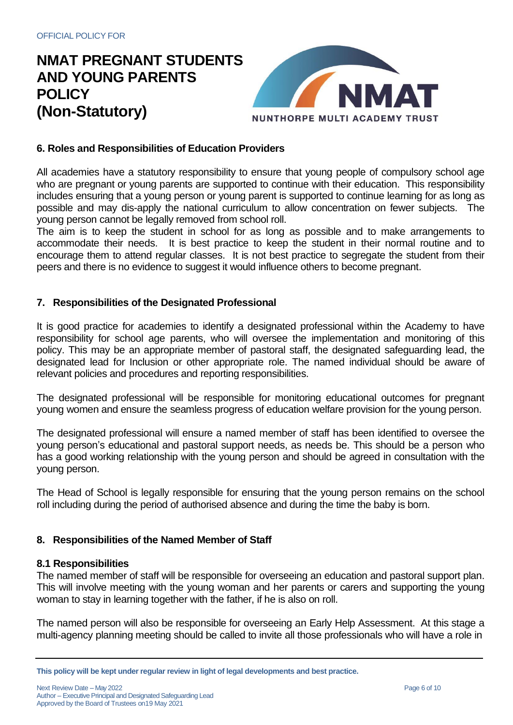

## **6. Roles and Responsibilities of Education Providers**

All academies have a statutory responsibility to ensure that young people of compulsory school age who are pregnant or young parents are supported to continue with their education. This responsibility includes ensuring that a young person or young parent is supported to continue learning for as long as possible and may dis-apply the national curriculum to allow concentration on fewer subjects. The young person cannot be legally removed from school roll.

The aim is to keep the student in school for as long as possible and to make arrangements to accommodate their needs. It is best practice to keep the student in their normal routine and to encourage them to attend regular classes. It is not best practice to segregate the student from their peers and there is no evidence to suggest it would influence others to become pregnant.

#### **7. Responsibilities of the Designated Professional**

It is good practice for academies to identify a designated professional within the Academy to have responsibility for school age parents, who will oversee the implementation and monitoring of this policy. This may be an appropriate member of pastoral staff, the designated safeguarding lead, the designated lead for Inclusion or other appropriate role. The named individual should be aware of relevant policies and procedures and reporting responsibilities.

The designated professional will be responsible for monitoring educational outcomes for pregnant young women and ensure the seamless progress of education welfare provision for the young person.

The designated professional will ensure a named member of staff has been identified to oversee the young person's educational and pastoral support needs, as needs be. This should be a person who has a good working relationship with the young person and should be agreed in consultation with the young person.

The Head of School is legally responsible for ensuring that the young person remains on the school roll including during the period of authorised absence and during the time the baby is born.

### **8. Responsibilities of the Named Member of Staff**

#### **8.1 Responsibilities**

The named member of staff will be responsible for overseeing an education and pastoral support plan. This will involve meeting with the young woman and her parents or carers and supporting the young woman to stay in learning together with the father, if he is also on roll.

The named person will also be responsible for overseeing an Early Help Assessment. At this stage a multi-agency planning meeting should be called to invite all those professionals who will have a role in

Next Review Date – May 2022 Author – Executive Principal and Designated Safeguarding Lead Approved by the Board of Trustees on19 May 2021

**This policy will be kept under regular review in light of legal developments and best practice.**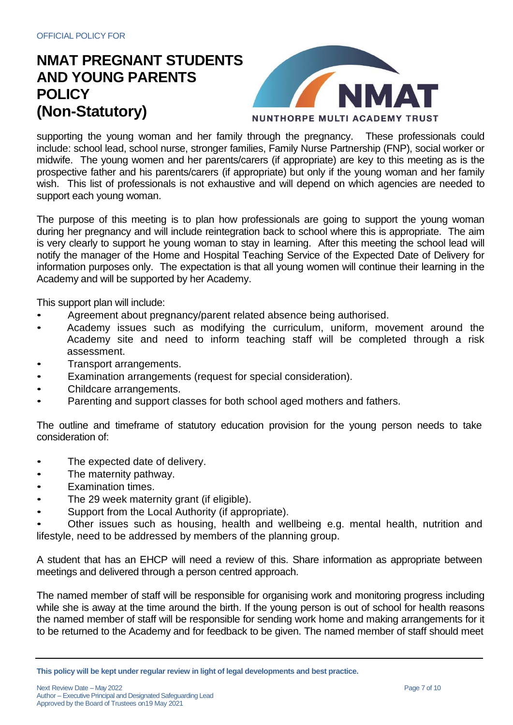

supporting the young woman and her family through the pregnancy. These professionals could include: school lead, school nurse, stronger families, Family Nurse Partnership (FNP), social worker or midwife. The young women and her parents/carers (if appropriate) are key to this meeting as is the prospective father and his parents/carers (if appropriate) but only if the young woman and her family wish. This list of professionals is not exhaustive and will depend on which agencies are needed to support each young woman.

The purpose of this meeting is to plan how professionals are going to support the young woman during her pregnancy and will include reintegration back to school where this is appropriate. The aim is very clearly to support he young woman to stay in learning. After this meeting the school lead will notify the manager of the Home and Hospital Teaching Service of the Expected Date of Delivery for information purposes only. The expectation is that all young women will continue their learning in the Academy and will be supported by her Academy.

This support plan will include:

- Agreement about pregnancy/parent related absence being authorised.
- Academy issues such as modifying the curriculum, uniform, movement around the Academy site and need to inform teaching staff will be completed through a risk assessment.
- Transport arrangements.
- Examination arrangements (request for special consideration).
- Childcare arrangements.
- Parenting and support classes for both school aged mothers and fathers.

The outline and timeframe of statutory education provision for the young person needs to take consideration of:

- The expected date of delivery.
- The maternity pathway.
- Examination times.
- The 29 week maternity grant (if eligible).
- Support from the Local Authority (if appropriate).
- Other issues such as housing, health and wellbeing e.g. mental health, nutrition and lifestyle, need to be addressed by members of the planning group.

A student that has an EHCP will need a review of this. Share information as appropriate between meetings and delivered through a person centred approach.

The named member of staff will be responsible for organising work and monitoring progress including while she is away at the time around the birth. If the young person is out of school for health reasons the named member of staff will be responsible for sending work home and making arrangements for it to be returned to the Academy and for feedback to be given. The named member of staff should meet

**This policy will be kept under regular review in light of legal developments and best practice.**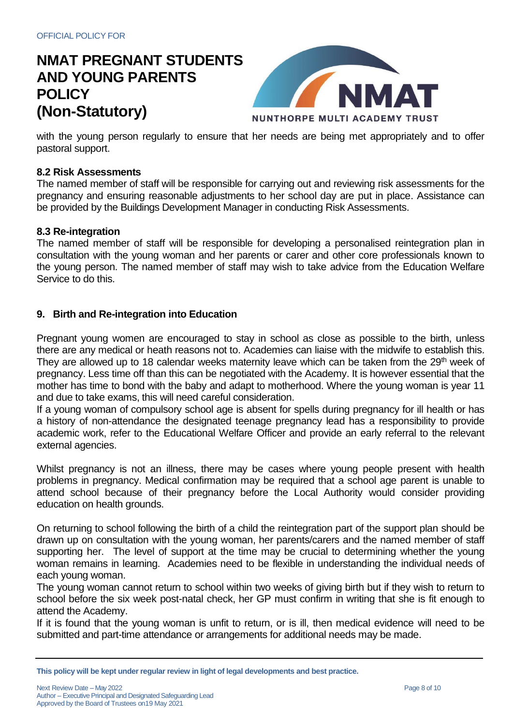

with the young person regularly to ensure that her needs are being met appropriately and to offer pastoral support.

### **8.2 Risk Assessments**

The named member of staff will be responsible for carrying out and reviewing risk assessments for the pregnancy and ensuring reasonable adjustments to her school day are put in place. Assistance can be provided by the Buildings Development Manager in conducting Risk Assessments.

#### **8.3 Re-integration**

The named member of staff will be responsible for developing a personalised reintegration plan in consultation with the young woman and her parents or carer and other core professionals known to the young person. The named member of staff may wish to take advice from the Education Welfare Service to do this.

#### **9. Birth and Re-integration into Education**

Pregnant young women are encouraged to stay in school as close as possible to the birth, unless there are any medical or heath reasons not to. Academies can liaise with the midwife to establish this. They are allowed up to 18 calendar weeks maternity leave which can be taken from the 29<sup>th</sup> week of pregnancy. Less time off than this can be negotiated with the Academy. It is however essential that the mother has time to bond with the baby and adapt to motherhood. Where the young woman is year 11 and due to take exams, this will need careful consideration.

If a young woman of compulsory school age is absent for spells during pregnancy for ill health or has a history of non-attendance the designated teenage pregnancy lead has a responsibility to provide academic work, refer to the Educational Welfare Officer and provide an early referral to the relevant external agencies.

Whilst pregnancy is not an illness, there may be cases where young people present with health problems in pregnancy. Medical confirmation may be required that a school age parent is unable to attend school because of their pregnancy before the Local Authority would consider providing education on health grounds.

On returning to school following the birth of a child the reintegration part of the support plan should be drawn up on consultation with the young woman, her parents/carers and the named member of staff supporting her. The level of support at the time may be crucial to determining whether the young woman remains in learning. Academies need to be flexible in understanding the individual needs of each young woman.

The young woman cannot return to school within two weeks of giving birth but if they wish to return to school before the six week post-natal check, her GP must confirm in writing that she is fit enough to attend the Academy.

If it is found that the young woman is unfit to return, or is ill, then medical evidence will need to be submitted and part-time attendance or arrangements for additional needs may be made.

**This policy will be kept under regular review in light of legal developments and best practice.**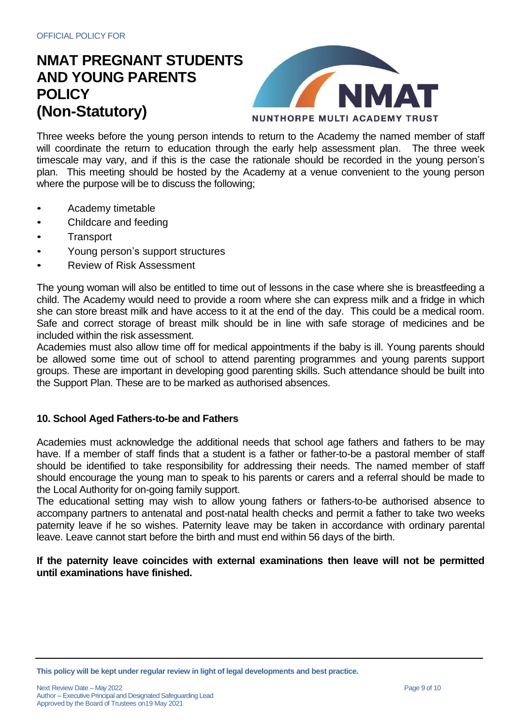

Three weeks before the young person intends to return to the Academy the named member of staff will coordinate the return to education through the early help assessment plan. The three week timescale may vary, and if this is the case the rationale should be recorded in the young person's plan. This meeting should be hosted by the Academy at a venue convenient to the young person where the purpose will be to discuss the following;

- Academy timetable
- Childcare and feeding
- **Transport**
- Young person's support structures
- Review of Risk Assessment

The young woman will also be entitled to time out of lessons in the case where she is breastfeeding a child. The Academy would need to provide a room where she can express milk and a fridge in which she can store breast milk and have access to it at the end of the day. This could be a medical room. Safe and correct storage of breast milk should be in line with safe storage of medicines and be included within the risk assessment.

Academies must also allow time off for medical appointments if the baby is ill. Young parents should be allowed some time out of school to attend parenting programmes and young parents support groups. These are important in developing good parenting skills. Such attendance should be built into the Support Plan. These are to be marked as authorised absences.

### **10. School Aged Fathers-to-be and Fathers**

Academies must acknowledge the additional needs that school age fathers and fathers to be may have. If a member of staff finds that a student is a father or father-to-be a pastoral member of staff should be identified to take responsibility for addressing their needs. The named member of staff should encourage the young man to speak to his parents or carers and a referral should be made to the Local Authority for on-going family support.

The educational setting may wish to allow young fathers or fathers-to-be authorised absence to accompany partners to antenatal and post-natal health checks and permit a father to take two weeks paternity leave if he so wishes. Paternity leave may be taken in accordance with ordinary parental leave. Leave cannot start before the birth and must end within 56 days of the birth.

#### **If the paternity leave coincides with external examinations then leave will not be permitted until examinations have finished.**

**This policy will be kept under regular review in light of legal developments and best practice.**